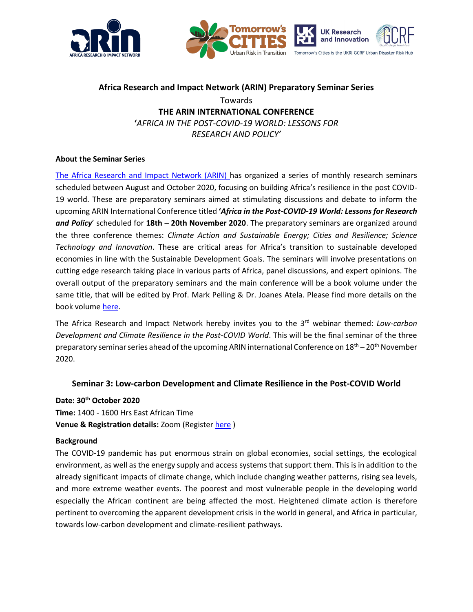



# **Africa Research and Impact Network (ARIN) Preparatory Seminar Series** Towards **THE ARIN INTERNATIONAL CONFERENCE '***AFRICA IN THE POST-COVID-19 WORLD: LESSONS FOR RESEARCH AND POLICY'*

## **About the Seminar Series**

[The Africa Research and Impact Network \(ARIN\) h](https://www.arin-africa.org/)as organized a series of monthly research seminars scheduled between August and October 2020, focusing on building Africa's resilience in the post COVID-19 world. These are preparatory seminars aimed at stimulating discussions and debate to inform the upcoming ARIN International Conference titled **'***Africa in the Post-COVID-19 World: Lessons for Research and Policy*' scheduled for **18th – 20th November 2020**. The preparatory seminars are organized around the three conference themes: *Climate Action and Sustainable Energy; Cities and Resilience; Science Technology and Innovation*. These are critical areas for Africa's transition to sustainable developed economies in line with the Sustainable Development Goals. The seminars will involve presentations on cutting edge research taking place in various parts of Africa, panel discussions, and expert opinions. The overall output of the preparatory seminars and the main conference will be a book volume under the same title, that will be edited by Prof. Mark Pelling & Dr. Joanes Atela. Please find more details on the book volume [here.](https://www.arin-africa.org/2020/07/23/building-africas-resilience-in-the-post-covid-19-world-lessons-for-research-and-development-priorities-edited-by-joanes-atela-and-mark-pelling/)

The Africa Research and Impact Network hereby invites you to the 3<sup>rd</sup> webinar themed: *Low-carbon Development and Climate Resilience in the Post-COVID World*. This will be the final seminar of the three preparatory seminar series ahead of the upcoming ARIN international Conference on 18<sup>th</sup> – 20<sup>th</sup> November 2020.

## **Seminar 3: Low-carbon Development and Climate Resilience in the Post-COVID World**

**Date: 30th October 2020**

**Time:** 1400 - 1600 Hrs East African Time **Venue & Registration details:** Zoom (Registe[r here](https://zoom.us/meeting/register/tJYvceyhpz0vE9fQZCJm9XL9cZskOh3tC5wv) )

## **Background**

The COVID-19 pandemic has put enormous strain on global economies, social settings, the ecological environment, as well as the energy supply and access systems that support them. This is in addition to the already significant impacts of climate change, which include changing weather patterns, rising sea levels, and more extreme weather events. The poorest and most vulnerable people in the developing world especially the African continent are being affected the most. Heightened climate action is therefore pertinent to overcoming the apparent development crisis in the world in general, and Africa in particular, towards low-carbon development and climate-resilient pathways.